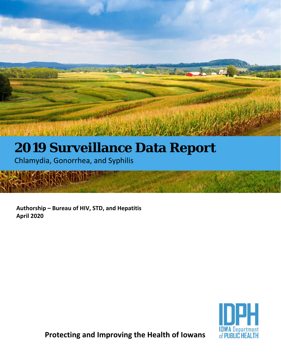

Chlamydia, Gonorrhea, and Syphilis

l

i<br>L

i 

H

**Authorship – Bureau of HIV, STD, and Hepatitis April 2020** 



**Protecting and Improving the Health of Iowans**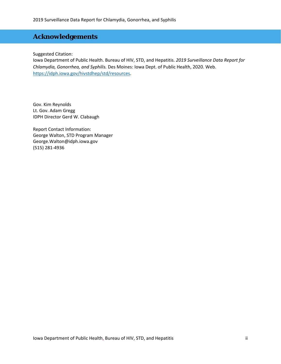## **Acknowledgements**

Suggested Citation:

Iowa Department of Public Health. Bureau of HIV, STD, and Hepatitis. *2019 Surveillance Data Report for Chlamydia, Gonorrhea, and Syphilis.* Des Moines: Iowa Dept. of Public Health, 2020. Web. https://idph.iowa.gov/hivstdhep/std/resources.

Gov. Kim Reynolds Lt. Gov. Adam Gregg IDPH Director Gerd W. Clabaugh

Report Contact Information: George Walton, STD Program Manager George.Walton@idph.iowa.gov (515) 281‐4936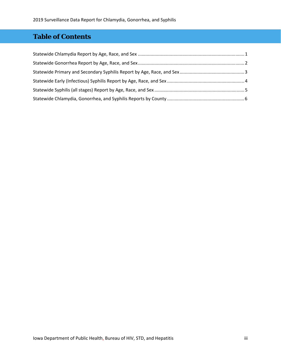# **Table of Contents**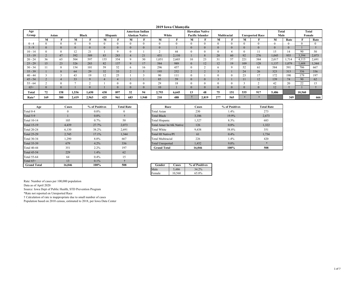#### **2019 Iowa Chlamydia**

| Age          |     |              |       |              |              |     |              | American Indian |              |          |                          | <b>Hawaiian Native</b> |     |              |     |                        | Total |              | Total  |       |
|--------------|-----|--------------|-------|--------------|--------------|-----|--------------|-----------------|--------------|----------|--------------------------|------------------------|-----|--------------|-----|------------------------|-------|--------------|--------|-------|
| Group        |     | Asian        |       | <b>Black</b> | Hispanic     |     |              | Alaskan Native  | White        |          | <b>Pacific Islander</b>  |                        |     | Multiracial  |     | <b>Unreported Race</b> | Male  |              | Female |       |
|              | M   |              | М     |              | М            |     | м            |                 | М            |          | м                        |                        | М   | $\mathbf{r}$ | М   |                        | М     | Rate         |        | Rate  |
| $0 - 4$      |     |              |       |              | $\theta$     |     | $\Omega$     |                 | $\theta$     | $\theta$ | 0                        |                        |     |              |     | $\Omega$               |       | $\Omega$     |        |       |
| $5 - 9$      |     | $\mathbf{0}$ |       | $\mathbf{0}$ | $\mathbf{0}$ |     |              | $\mathbf{0}$    | $\mathbf{0}$ |          | v                        |                        |     | $\mathbf{0}$ |     | $\Omega$               |       | $\mathbf{0}$ |        |       |
| $10 - 14$    |     |              | 12    | 21           |              |     |              |                 | $\sim$       | 44       |                          |                        |     |              |     |                        | 15    | 14           | 90     | 50    |
| $15 - 19$    |     | 47           | 392   | 589          | 83           | 283 |              | 21              | 451          | 2,110    |                          | 8                      | 20  | 60           | 92  | 276                    | 1,045 | 955          | 3,394  | 2,073 |
| $20 - 24$    | 36  | 65           | 504   | 597          | 155          | 354 | 9            | 30              | 1,051        | 2,603    | 10                       | 23                     | 31  | 57           | 221 | 384                    | 2,017 | 1,714        | 4,113  | 2,691 |
| $25 - 29$    | 15  | 23           | 326   | 283          | 82           | 137 | $\mathbf Q$  | 17              | 584          | 989      | $\mathbf{0}$             | 12                     | 12  | 19           | 109 | 128                    | 1,137 | 1,079        | 1,608  | 1,344 |
| $30 - 34$    |     | $\mathbf{8}$ | 154   | 101          | 59           | 52  | <sub>n</sub> | 16              | 296          | 457      | 0                        |                        |     | 9            | 52  | 61                     | 584   | 591          | 706    | 667   |
| $35 - 39$    |     | $\alpha$     | 64    | 29           | 32           | 33  |              |                 | 195          | 252      | $\sim$<br>$\overline{L}$ | L                      |     |              | 24  | 26                     | 323   | 313          | 356    | 336   |
| $40 - 44$    |     |              | 43    | 19           | 12           | 25  |              |                 | 90           | 111      |                          |                        |     | $\theta$     | 23  | 17                     | 172   | 190          | 179    | 97    |
| $45 - 54$    |     |              | 33    | Q            |              |     |              |                 | 85           | 59       | $\bf{0}$                 |                        |     |              |     | 12                     | 139   | 74           | 90     | 62    |
| $55 - 64$    |     |              |       |              |              |     |              |                 | 29           | 18       |                          |                        |     |              |     |                        | 42    | 20           | 22     | 15    |
| $65+$        |     | $\Omega$     |       | $\Omega$     |              |     |              | $\mathbf{0}$    | 10           |          |                          |                        |     | $\Omega$     |     | $\Omega$               | 12    |              |        |       |
| <b>Total</b> | 72  | 158          | 1,536 | 1,650        | 430          | 897 | 32           | 94              | 2,793        | 6,645    | 13                       | 48                     | 75  | 151          | 535 | 917                    | 5,486 |              | 10,560 |       |
| Rate*        | 169 | 380          | 2,419 | 2,963        | 425          | 961 | 683          | 1,940           | 210          | 488      |                          | 2,819                  | 277 | 565          |     |                        |       | 349          |        | 666   |

| Age                | <b>Cases</b> | % of Positives | <b>Total Rate</b> | Race                     | Cases          | % of Posi |
|--------------------|--------------|----------------|-------------------|--------------------------|----------------|-----------|
| Total 0-4          | $\Omega$     | $0.0\%$        | $\Omega$          | <b>Total Asian</b>       | 230            | 1.4%      |
| Total 5-9          |              | $0.0\%$        |                   | <b>Total Black</b>       | 3,186          | 19.9%     |
| Total 10-14        | 105          | 0.7%           | 50                | Total Hispanic           | 1,327          | 8.3%      |
| <b>Total 15-19</b> | 4.439        | 27.7%          | 2,073             | Total Amer In/AK Native  | 126            | 0.8%      |
| <b>Total 20-24</b> | 6.130        | 38.2%          | 2.691             | <b>Total White</b>       | 9,438          | 58.8%     |
| <b>Total 25-29</b> | 2.745        | 17.1%          | 1.344             | Total HI Native/PI       | 61             | 0.4%      |
| Total 30-34        | 1,290        | 8.0%           | 667               | <b>Total Multiracial</b> | 226            | 1.4%      |
| <b>Total 35-39</b> | 679          | 4.2%           | 336               | <b>Total Unreported</b>  | 1.452          | $9.0\%$   |
| <b>Total 40-44</b> | 351          | 2.2%           | 197               | <b>Grand Total</b>       | 16,046         | 100%      |
| <b>Total 45-54</b> | 229          | 1.4%           | 62                |                          |                |           |
| Total 55-64        | 64           | 0.4%           | 15                |                          |                |           |
| Total $65+$        | 13           | $0.1\%$        |                   |                          |                |           |
| <b>Grand Total</b> | 16,046       | 100%           | 508               | Gender<br>Cases          | % of Positives |           |

| Age            | <b>Cases</b> | % of Positives | <b>Total Rate</b> | Race                     | <b>Cases</b> | % of Positives | <b>Total Rate</b> |
|----------------|--------------|----------------|-------------------|--------------------------|--------------|----------------|-------------------|
|                |              | $0.0\%$        | $\mathbf{0}$      | Total Asian              | 230          | 1.4%           | 273               |
|                |              | $0.0\%$        |                   | <b>Total Black</b>       | 3,186        | 19.9%          | 2,673             |
| $\overline{A}$ | 105          | $0.7\%$        | 50                | Total Hispanic           | 1,327        | 8.3%           | 683               |
|                | 4,439        | 27.7%          | 2,073             | Total Amer In/AK Native  | 126          | $0.8\%$        | 1,322             |
|                | 6,130        | 38.2%          | 2,691             | Total White              | 9,438        | 58.8%          | 351               |
|                | 2,745        | 17.1%          | 1,344             | Total HI Native/PI       | 61           | $0.4\%$        | 1,734             |
| i4             | .290         | $8.0\%$        | 667               | <b>Total Multiracial</b> | 226          | 1.4%           | 420               |
|                | 679          | $4.2\%$        | 336               | <b>Total Unreported</b>  | 1,452        | $9.0\%$        |                   |
|                | 351          | 2.2%           | 197               | <b>Grand Total</b>       | 16,046       | 100%           | 508               |

| Gender | Cases  | % of Positives |
|--------|--------|----------------|
| Male   | 5.486  | 34 2%          |
| Female | 10.560 | 65.8%          |

Rate: Number of cases per 100,000 population

Data as of April 2020

Source: Iowa Dept of Public Health, STD Prevention Program

\*Rate not reported on Unreported Race

† Calculation of rate is inappropriate due to small number of cases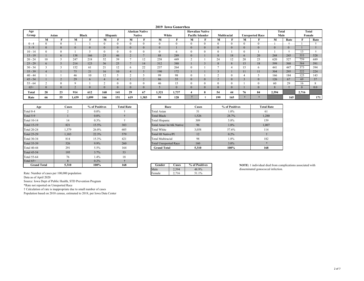#### **2019 Iowa Gonorrhea**

| Age          |              |          |              |                |                |     |              | Alaskan Native |              |                |                  | <b>Hawaiian Native</b> |          |              |              |                        | Total         |              | Total    |      |
|--------------|--------------|----------|--------------|----------------|----------------|-----|--------------|----------------|--------------|----------------|------------------|------------------------|----------|--------------|--------------|------------------------|---------------|--------------|----------|------|
| Group        |              | Asian    |              | <b>Black</b>   | Hispanic       |     |              | <b>Native</b>  | White        |                | Pacific Islander |                        |          | Multiracial  |              | <b>Unreported Race</b> | Male          |              | Female   |      |
|              | М            |          | М            |                | М              |     | м            |                | М            | Е              | м                |                        | М        | П            | М            |                        | М             | Rate         |          | Rate |
| $0 - 4$      |              |          |              |                | $\theta$       |     | $\Omega$     | $\sim$         | $\theta$     | $\theta$       |                  |                        | $\theta$ | $\Omega$     | $\Omega$     | $\theta$               |               |              |          |      |
| $5 - 9$      |              |          | $\mathbf{0}$ | $\overline{0}$ | $\overline{0}$ |     |              | $\mathbf{0}$   | $\mathbf{0}$ |                | v                |                        | $\Omega$ | $\mathbf{0}$ | $\mathbf{0}$ | $\Omega$               | $\Omega$      | $\mathbf{0}$ |          |      |
| $10 - 14$    |              |          |              |                | $\theta$       |     |              |                | $\mathbf{0}$ | $\sigma$       |                  |                        | $\theta$ |              | $\Omega$     |                        |               |              | 12<br>15 |      |
| $15 - 19$    |              | $\theta$ | 138          | 166            | 25             | 46  |              |                | 88           | 289            |                  |                        | $\Omega$ | 18           | $\mathbf{h}$ | 20                     | 268           | 245          | 553      | 528  |
| $20 - 24$    | 10           |          | 247          | 218            | 52             | 39  |              | 12             | 258          | 449            | $\sim$           |                        | 24       | 12           | 20           | 23                     | 620           | 527          | 759      | 689  |
| $25 - 29$    | $\mathbf{r}$ |          | 214          | 123            | 36             | 25  |              | 14             | 312          | 388            |                  |                        |          | 8            | 15           | 18                     | 599           | 568          | 584      | 591  |
| $30 - 34$    |              |          | 152          | 61             | 21             | 12  | <sub>n</sub> | 22             | 237          | 264            | 0                |                        |          |              | 15           | 6                      | 441           | 447          | 373      | 394  |
| $35 - 39$    |              |          | 75           | 21             | 16             | 10  |              |                | 190          | 172            |                  |                        |          |              | 11           | 11                     | 304           | 295          | 222      | 224  |
| $40 - 44$    |              |          | 46           | 10             | 12             |     |              |                | 99           | 98             |                  |                        |          | $\Omega$     |              |                        | 166           | 184          | 125      | 143  |
| $45 - 54$    |              |          | 29           | 6              | 4              |     |              | $\sim$<br>∠    | 86           | 55             |                  |                        |          | $\mathbf{0}$ |              | $\Omega$               | 126           | 67           | 69       | 37   |
| $55 - 64$    |              |          |              |                | $\sim$         |     |              |                | 46           | 15             |                  |                        |          | $\Omega$     |              | $^{\circ}$             | 60            | 29           | 16       |      |
| $65+$        |              |          |              | $\mathbf{0}$   | $\overline{0}$ |     |              | $\theta$       |              | $\overline{0}$ |                  |                        |          | $\Omega$     |              | $\Omega$               | $\mathcal{N}$ |              | $\Omega$ | 0.0  |
| <b>Total</b> | 28           | 23       | 914          | 612            | 168            | 141 | 29           | 67             | 1,321        | 1,737          |                  | 8                      | 54       | 44           | 76           | 84                     | 2,594         |              | 2,716    |      |
| Rate         | 66           | 55       | 1,439        | 1,099          | 166            | 151 | 619          | 1,383          | 99           | 128            |                  |                        | 199      | 165          |              |                        |               | 165          |          | 171  |

| Age                | Cases          | % of Positives | <b>Total Rate</b> |  | Cases                        |                |
|--------------------|----------------|----------------|-------------------|--|------------------------------|----------------|
| Total 0-4          | $\overline{2}$ | $0.0\%$        |                   |  | Total Asian                  | 51             |
| Total 5-9          |                | $0.0\%$        |                   |  | <b>Total Black</b>           | 1,526          |
| Total 10-14        | 14             | $0.3\%$        |                   |  | Total Hispanic               | 309            |
| <b>Total 15-19</b> | 821            | 15.5%          | 383               |  | Total Amer In/AK Native      | 96             |
| <b>Total 20-24</b> | 1.379          | 26.0%          | 605               |  | <b>Total White</b>           | 3,058          |
| <b>Total 25-29</b> | 1.183          | 22.3%          | 579               |  | <b>Total HI Native/PI</b>    | 12             |
| <b>Total 30-34</b> | 814            | 15.3%          | 421               |  | Total Multiracial            | 98             |
| <b>Total 35-39</b> | 526            | $9.9\%$        | 260               |  | <b>Total Unreported Race</b> | 160            |
| <b>Total 40-44</b> | 291            | 5.5%           | 164               |  | <b>Grand Total</b>           | 5,310          |
| <b>Total 45-54</b> | 195            | 3.7%           | 53                |  |                              |                |
| Total 55-64        | 76             | 1.4%           | 18                |  |                              |                |
| Total $65+$        | 8              | $0.2\%$        |                   |  |                              |                |
| <b>Grand Total</b> | 5.310          | 100%           | 168               |  | Gender<br>Cases              | % of Positives |

| Age | <b>Cases</b> | % of Positives | <b>Total Rate</b> | Race                         | <b>Cases</b> | % of Positives | <b>Total Rate</b> |
|-----|--------------|----------------|-------------------|------------------------------|--------------|----------------|-------------------|
|     |              | $0.0\%$        |                   | Total Asian                  | 51           | $1.0\%$        | 61                |
|     |              | $0.0\%$        |                   | <b>Total Black</b>           | 1,526        | 28.7%          | 1,280             |
| 4   | 14           | $0.3\%$        |                   | Total Hispanic               | 309          | 5.8%           | 159               |
|     | 821          | 15.5%          | 383               | Total Amer In/AK Native      | 96           | 1.8%           | 1,007             |
|     | 1,379        | 26.0%          | 605               | Total White                  | 3,058        | 57.6%          | 114               |
|     | 1,183        | 22.3%          | 579               | Total HI Native/PI           | 12           | $0.2\%$        |                   |
|     | 814          | 15.3%          | 421               | Total Multiracial            | 98           | 1.8%           | 182               |
|     | 526          | $9.9\%$        | 260               | <b>Total Unreported Race</b> | 160          | $3.0\%$        |                   |
|     | 291          | 5.5%           | 164               | <b>Grand Total</b>           | 5,310        | 100%           | 168               |
|     |              |                |                   |                              |              |                |                   |

| Gender | Cases | % of Positives |
|--------|-------|----------------|
| 1ale.  |       | 48.9%          |
| Female |       | 51 1%          |

**NOTE:** 1 individual died from complications associated with disseminated gonococcal infection.

Rate: Number of cases per 100,000 population

Data as of April 2020

Source: Iowa Dept of Public Health, STD Prevention Program

\*Rate not reported on Unreported Race

† Calculation of rate is inappropriate due to small number of cases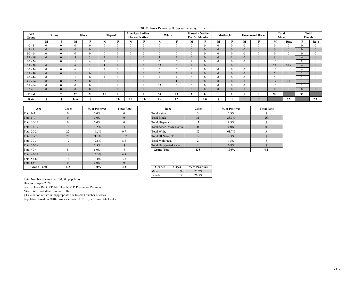#### **2019 Iowa Primary & Secondary Syphilis**

| Age<br>Group |                | Asian    |              | <b>Black</b>   | Hispanic     |     |              | American Indian<br><b>Alaskan Native</b> | White        |                         | Pacific Islander | <b>Hawaiin Native</b> |   | Mutiracial   | <b>Unreported Race</b> |              | <b>Total</b><br>Male |                | <b>Total</b><br>Female |      |
|--------------|----------------|----------|--------------|----------------|--------------|-----|--------------|------------------------------------------|--------------|-------------------------|------------------|-----------------------|---|--------------|------------------------|--------------|----------------------|----------------|------------------------|------|
|              | М              |          | М            |                | М            | m   | М            | F                                        | М            | п                       | М                | m                     | M | T.           | M                      |              | М                    | Rate           |                        | Rate |
| $0 - 4$      | $\Omega$       |          | $\Omega$     | $\mathbf{0}$   | $\mathbf{0}$ |     | $\theta$     | $\theta$                                 | $\Omega$     | $\mathbf{0}$            | $\theta$         | $\theta$              |   | $\mathbf{0}$ | $\Omega$               | $\Omega$     | $\Omega$             | $\Omega$       |                        |      |
| $5 - 9$      | $\Omega$       | $\Omega$ | $\mathbf{0}$ | $\overline{0}$ | $\mathbf{0}$ |     | $\Omega$     | $\mathbf{0}$                             | $\mathbf{0}$ | $\mathbf{0}$            | $\overline{0}$   | $\overline{0}$        |   | $\mathbf{0}$ | v                      | $\Omega$     | $\Omega$             | $\overline{0}$ | $\Omega$               |      |
| $10 - 14$    | $\Omega$       |          | $\theta$     | $\theta$       | $\mathbf{0}$ |     | $\theta$     |                                          | $\Omega$     | $\mathbf{0}$            | $\bf{0}$         |                       |   | $\theta$     |                        | $\theta$     | $\theta$             | $\overline{0}$ |                        |      |
| $15 - 19$    | $\Omega$       | $\Omega$ |              |                | $\sim$<br>∠  |     | $\Omega$     | $\mathbf{0}$                             |              | $\sim$<br>$\mathcal{L}$ | $\mathbf{0}$     | $\mathbf{0}$          |   |              |                        | $\Omega$     | 8                    |                | $\sigma$               |      |
| $20 - 24$    |                |          |              |                |              |     | $\Omega$     |                                          | <sub>0</sub> |                         |                  |                       |   | $\theta$     |                        | $^{\circ}$   | 13                   |                | $\Omega$               |      |
| $25 - 29$    | $\overline{0}$ |          | $\epsilon$   |                |              |     | $\mathbf{0}$ | $\mathbf{0}$                             | 12           | $\overline{4}$          |                  | $\overline{0}$        |   | $\mathbf{0}$ |                        | $\mathbf{0}$ | 22                   | 20.9           | $\theta$               |      |
| $30 - 34$    | $\theta$       |          | <sub>0</sub> |                | $\sim$<br>∠  |     |              |                                          |              | -                       | 0                |                       |   | $\theta$     |                        | $\Omega$     | 13                   |                |                        |      |
| $35 - 39$    | $\Omega$       | $\theta$ |              | $\overline{0}$ | $\mathbf{0}$ |     | $\Omega$     | $\mathbf{0}$                             |              | $\sim$<br>$\mathcal{L}$ |                  | $\overline{0}$        |   | $\mathbf{0}$ | v                      | $\Omega$     |                      |                |                        |      |
| $40 - 44$    | $\Omega$       |          |              | $\theta$       | $\sim$<br>∠  |     |              | o                                        | $\sim$       | $\sim$                  | $\bf{0}$         |                       |   | $\theta$     |                        | $\theta$     |                      |                |                        |      |
| $45 - 54$    | $\Omega$       |          | $\sim$<br>∠  | $\overline{0}$ | $\mathbf{0}$ |     | $\Omega$     | $\mathbf{0}$                             | 15           |                         | $\mathbf{0}$     | $\mathbf{0}$          |   | $\mathbf{0}$ |                        | $\Omega$     | 17                   | 9.1            |                        |      |
| $55 - 64$    | 0              |          | $\Omega$     | $\Omega$       | $\theta$     |     | $\Omega$     |                                          | 12<br>15     | -<br>$\mathcal{L}$      | 0                |                       |   | $\theta$     |                        | $^{\circ}$   | 13                   |                |                        |      |
| $65+$        | $\Omega$       |          | $\mathbf{0}$ | $\overline{0}$ | $\mathbf{0}$ |     | $\Omega$     | $\mathbf{0}$                             | $\mathbf{0}$ | $\mathbf{0}$            | $\mathbf{0}$     | $\overline{0}$        |   | $\mathbf{0}$ |                        | $\Omega$     | $\mathbf{0}$         | $\overline{0}$ | $\mathbf{0}$           |      |
| Total        |                |          | 22           | $\Omega$       | 11           |     |              | v                                        | 59           | 23                      | J                | 0                     |   |              |                        |              | 98                   |                | 35                     |      |
| Rate         |                |          | 34.6         |                |              | 0.0 | 0.0          | 0.0                                      | 4.4          | 1.7                     |                  | 0.0                   |   |              |                        |              |                      | 6.2            |                        | 2.2  |

| Age                | <b>Cases</b> | % of Positives | Race     |                              |          |
|--------------------|--------------|----------------|----------|------------------------------|----------|
| Total 0-4          | $\Omega$     | $0.0\%$        | 0        | Total Asian                  |          |
| Total 5-9          | $\Omega$     | $0.0\%$        | $\Omega$ | <b>Total Black</b>           |          |
| Total 10-14        | $\theta$     | $0.0\%$        | $\Omega$ | Total Hispanic               |          |
| <b>Total 15-19</b> | 14           | $10.5\%$       |          | Total Amer In/AK Native      |          |
| <b>Total 20-24</b> | 22           | 16.5%          | 9.7      | Total White                  |          |
| <b>Total 25-29</b> | 28           | 21.1%          | 13.7     | Total HI Native/PI           |          |
| <b>Total 30-34</b> | 17           | 12.8%          | 8.8      | <b>Total Multiracial</b>     |          |
| <b>Total 35-39</b> | 10           | 7.5%           |          | <b>Total Unreported Race</b> |          |
| <b>Total 40-44</b> | 8            | $6.0\%$        |          | <b>Grand Total</b>           |          |
| <b>Total 45-54</b> | 18           | 13.5%          | 4.8      |                              |          |
| Total 55-64        | 16           | 12.0%          | 3.8      |                              |          |
| Total $65+$        | $\Omega$     | $0.0\%$        | $\Omega$ |                              |          |
| <b>Grand Total</b> | 133          | 100%           | 4.2      | Gender<br>Cases              | $%$ of P |

| Age                | <b>Cases</b> | % of Positives | <b>Total Rate</b> | Race                         | Cases    | % of Positives | <b>Total Rate</b> |
|--------------------|--------------|----------------|-------------------|------------------------------|----------|----------------|-------------------|
| Total 0-4          |              | $0.0\%$        |                   | Total Asian                  |          | 2.3%           |                   |
| Total $5-9$        |              | $0.0\%$        |                   | <b>Total Black</b>           | 31       | 23.3%          | 26                |
| Total 10-14        |              | $0.0\%$        |                   | Total Hispanic               |          | 8.3%           |                   |
| Total 15-19        | 14           | 10.5%          |                   | Total Amer In/AK Native      | $\Omega$ | $0.0\%$        |                   |
| <b>Total 20-24</b> | 22           | 16.5%          | 9.7               | Total White                  | 82       | 61.7%          |                   |
| <b>Total 25-29</b> | 28           | 21.1%          | 13.7              | Total HI Native/PI           |          | 2.3%           |                   |
| Total 30-34        | 17           | 12.8%          | 8.8               | Total Multiracial            |          | 1.5%           |                   |
| Total 35-39        | 10           | 7.5%           |                   | <b>Total Unreported Race</b> |          | 0.8%           |                   |
| Total 40-44        |              | $6.0\%$        |                   | <b>Grand Total</b>           | 133      | 100%           | 4.2               |

| Gender | Cases | % of Positives |
|--------|-------|----------------|
| Aale   | 98    | 73.7%          |
| Female |       | 26.3%          |

Rate: Number of cases per 100,000 population

Data as of April 2020

Source: Iowa Dept of Public Health, STD Prevention Program

\*Rate not reported on Unreported Race

† Calculation of rate is inappropriate due to small number of cases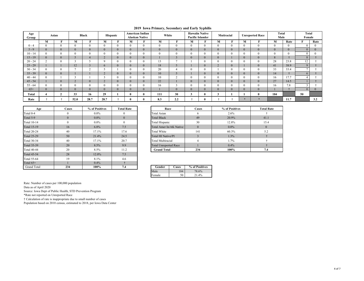| Age<br>Group |          | Asian          |                | <b>Black</b>   |                    | Hispanic |                | <b>American Indian</b><br><b>Alaskan Native</b> | White        |              | <b>Hawaiin Native</b><br>Pacific Islander |          | Mutiracial            |              |                | <b>Unreported Race</b> | Total<br>Male  |      | <b>Total</b><br>Female |      |
|--------------|----------|----------------|----------------|----------------|--------------------|----------|----------------|-------------------------------------------------|--------------|--------------|-------------------------------------------|----------|-----------------------|--------------|----------------|------------------------|----------------|------|------------------------|------|
|              | M        | -              | М              | -              | M                  |          | М              | -                                               | M            | -            | М                                         | -        | М                     | -            | M              | -                      | M              | Rate | $\sim$                 | Rate |
| $0 - 4$      | $\theta$ | $\Omega$       | $\Omega$       |                | $\theta$           | $\Omega$ |                | $\Omega$                                        | $\mathbf{0}$ | $\theta$     | $\theta$                                  | $\Omega$ | $\Omega$              | $\Omega$     | $\Omega$       | $\theta$               | $\theta$       |      | $\Omega$               |      |
| $5 - 9$      | $\Omega$ | $\Omega$       | $\overline{0}$ | $\Omega$       | $\mathbf{0}$       |          |                | $\mathbf{0}$                                    | $\mathbf{0}$ | $\mathbf{0}$ | $\mathbf{0}$                              |          | $\Omega$              | $\mathbf{0}$ | $\Omega$       | $\Omega$               | $\overline{0}$ |      | $\Omega$               |      |
| $10 - 14$    | $\Omega$ | $\Omega$       |                |                | $\Omega$           |          |                | 0                                               | $\mathbf{0}$ | $\theta$     | $\theta$                                  | $\Omega$ | $\theta$              | $\mathbf{0}$ | $\theta$       | $\Omega$               | $\theta$       |      | $\Omega$               |      |
| $15 - 19$    | $\theta$ | $\mathbf{0}$   |                | $\overline{4}$ | $\overline{2}$     |          |                | $\mathbf{0}$                                    |              | 3            | $\mathbf{0}$                              |          | $\mathbf{0}$          |              | $\overline{0}$ | $\mathbf{0}$           | 8              |      | 8                      |      |
| $20 - 24$    | $\sim$   | $\Omega$       |                |                | $\mathbf Q$        |          |                | $\theta$                                        | 13           | $\mathbf{r}$ |                                           |          | $\Omega$              | $\Omega$     | $\Omega$       | $\Omega$               | 28             | 23.8 | 12                     |      |
| $25 - 29$    |          |                | 12             | $\sim$         | 6                  |          | $\overline{0}$ | $\mathbf{0}$                                    | 18           | 5            |                                           | 0        | $\sim$<br>∠           | $\mathbf{0}$ |                | $\mathbf{0}$           | 41             | 38.9 | $\mathbf Q$            |      |
| $30 - 34$    | $\Omega$ | $\Omega$       |                | $\sim$         |                    |          |                | 0                                               | 20           | 4            | $\theta$                                  | $\Omega$ |                       | $\mathbf{0}$ | $\Omega$       | $\Omega$               | 33             | 33.4 |                        |      |
| $35 - 39$    | $\theta$ | $\mathbf{0}$   |                |                | $\sim$<br>$\angle$ | $\Omega$ | $\overline{0}$ | $\mathbf{0}$                                    | 10           |              |                                           | $\theta$ | $\mathbf{0}$          | $\mathbf{0}$ | $\theta$       | $\mathbf{0}$           | 14             |      |                        |      |
| $40 - 44$    | $\Omega$ |                |                |                |                    |          |                | $\theta$                                        | 10           | $\sim$       | $\mathbf{0}$                              |          | $\Omega$              | $\mathbf{0}$ | $\Omega$       | $\Omega$               | 16             | 17.7 |                        |      |
| $45 - 54$    |          | $\mathbf{0}$   |                | $\mathbf{0}$   | $\sim$<br>∠        | $\Omega$ |                | $\mathbf{0}$                                    | 22           |              | $\overline{0}$                            |          | $\mathbf{0}$          | $\mathbf{0}$ | $\Omega$       | $\Omega$               | 27             | 14.5 |                        |      |
| $55 - 64$    | $\Omega$ | $\Omega$       |                |                | $\Omega$           |          |                | $\theta$                                        | 16           | $\sim$       | $\theta$                                  | $\Omega$ | $\Omega$              | $\Omega$     | $\Omega$       | $\Omega$               | 16             | 7.8  |                        |      |
| $65+$        | $\Omega$ | $\Omega$       | $\overline{0}$ | $\Omega$       | $\Omega$           | $\Omega$ |                | $\Omega$                                        |              | $\Omega$     | $\Omega$                                  | $\Omega$ | $\Omega$              | $\Omega$     |                | $\Omega$               |                |      | $\Omega$               |      |
| Total        |          | $\overline{2}$ | 33             | 16             | 29                 |          |                | $\mathbf{0}$                                    | 111          | 30           | $\mathbf{3}$                              |          | <b>CONTRACT</b><br>J. |              |                | $\mathbf{0}$           | 184            |      | 50                     |      |
| Rate         |          |                | 52.0           | 28.7           | 28.7               |          |                |                                                 | 8.3          | 2.2          |                                           |          |                       |              |                |                        |                | 11.7 |                        | 3.2  |

#### **2019 Iowa Primary, Secondary and Early Syphilis**

| Age                | <b>Cases</b> | % of Positives | <b>Total Rate</b> | Race                         | Cases          |  |
|--------------------|--------------|----------------|-------------------|------------------------------|----------------|--|
| Total 0-4          | 0            | $0.0\%$        | $\Omega$          | Total Asian                  | 6              |  |
| Total 5-9          | $\Omega$     | $0.0\%$        | $\mathbf{0}$      | <b>Total Black</b>           | 49             |  |
| Total 10-14        | $\Omega$     | $0.0\%$        | $\theta$          | Total Hispanic               | 30             |  |
| <b>Total 15-19</b> | 16           | $6.8\%$        | 7.5               | Total Amer In/AK Native      | $\mathbf{0}$   |  |
| <b>Total 20-24</b> | 40           | 17.1%          | 17.6              | <b>Total White</b>           | 141            |  |
| <b>Total 25-29</b> | 50           | 21.4%          | 24.5              | Total HI Native/PI           | 3              |  |
| Total 30-34        | 40           | 17.1%          | 20.7              | <b>Total Multiracial</b>     | $\overline{4}$ |  |
| <b>Total 35-39</b> | 20           | 8.5%           | 9.9               | <b>Total Unreported Race</b> |                |  |
| <b>Total 40-44</b> | 20           | 8.5%           | 11.2              | <b>Grand Total</b>           | 234            |  |
| <b>Total 45-54</b> | 28           | $12.0\%$       | 7.5               |                              |                |  |
| Total 55-64        | 19           | 8.1%           | 4.6               |                              |                |  |
| Total $65+$        |              | $0.4\%$        |                   |                              |                |  |
| <b>Grand Total</b> | 234          | 100%           | 7.4               | Gender<br>Cases              | % of Positives |  |

| Age | <b>Cases</b> | % of Positives | <b>Total Rate</b> | Race                         | <b>Cases</b> | % of Positives | <b>Total Rate</b> |
|-----|--------------|----------------|-------------------|------------------------------|--------------|----------------|-------------------|
|     |              | $0.0\%$        | $\Omega$          | Total Asian                  |              | 2.6%           |                   |
|     |              | $0.0\%$        | $\mathbf{0}$      | <b>Total Black</b>           | 49           | 20.9%          | 41.1              |
|     |              | $0.0\%$        | $\Omega$          | Total Hispanic               | 30           | 12.8%          | 15.4              |
|     | 16           | $6.8\%$        | 7.5               | Total Amer In/AK Native      |              | $0.0\%$        |                   |
|     | 40           | 17.1%          | 17.6              | Total White                  | 141          | 60.3%          | 5.2               |
|     | 50           | 21.4%          | 24.5              | Total HI Native/PI           |              | 1.3%           |                   |
|     | 40           | 17.1%          | 20.7              | <b>Total Multiracial</b>     |              | 1.7%           |                   |
|     | 20           | 8.5%           | 9.9               | <b>Total Unreported Race</b> |              | 0.4%           |                   |
|     | 20           | 8.5%           | 11.2              | <b>Grand Total</b>           | 234          | 100%           | 7.4               |

| Gender | `ases | % of Positives |
|--------|-------|----------------|
| Male   | 84    | 78.6%          |
| Female | 50    | 21.4%          |

Rate: Number of cases per 100,000 population

Data as of April 2020

Source: Iowa Dept of Public Health, STD Prevention Program

\*Rate not reported on Unreported Race

† Calculation of rate is inappropriate due to small number of cases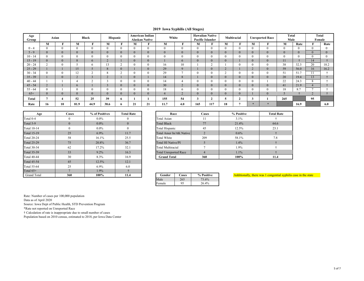### **2019 Iowa Syphilis (All Stages)**

| Age<br>Group |                | Asian |                | <b>Black</b> | Hispanic                |   |          | <b>American Indian</b><br><b>Alaskan Native</b> | White        |              | <b>Pacific Islander</b> | <b>Hawaiian Native</b> |          | Multiracial    |              | <b>Unreported Race</b> | <b>Total</b><br>Male |              |              | Total<br>Female |
|--------------|----------------|-------|----------------|--------------|-------------------------|---|----------|-------------------------------------------------|--------------|--------------|-------------------------|------------------------|----------|----------------|--------------|------------------------|----------------------|--------------|--------------|-----------------|
|              | M              |       | M              |              | M                       |   | M        |                                                 | M            | T.           | М                       |                        | М        | Ð              | М            |                        | М                    | Rate         |              | Rate            |
| $0 - 4$      | 0              |       | $\theta$       | $\theta$     | $\theta$                |   | $\Omega$ | $\theta$                                        | $\theta$     | $\theta$     | $\overline{0}$          | $\theta$               | $\Omega$ | $\theta$       | $\theta$     |                        | $\Omega$             | $\theta$     | $\theta$     | $\Omega$        |
| $5 - 9$      |                |       | $\Omega$       | $\mathbf{0}$ | $\mathbf{0}$            |   |          | $\overline{0}$                                  | $\mathbf{0}$ | $\mathbf{0}$ | $\mathbf{0}$            | $\mathbf{0}$           |          | $\overline{0}$ | $\Omega$     |                        |                      | $\mathbf{0}$ | $\mathbf{0}$ | $\mathbf{0}$    |
| $10 - 14$    |                |       |                | $\sqrt{ }$   | $\theta$                |   |          | $\theta$                                        |              | $\theta$     | $\Omega$                | $\theta$               |          | $\theta$       | $\theta$     |                        |                      | $\theta$     | $\Omega$     | $\Omega$        |
| $15 - 19$    |                |       | $\Omega$<br>Ō. | $\epsilon$   | $\sim$<br>$\mathcal{L}$ |   |          | $\mathbf{0}$                                    |              | 6            | $\mathbf{0}$            | $\mathbf{0}$           | $\Omega$ |                | $\mathbf{0}$ |                        | 11                   |              | 14           |                 |
| $20 - 24$    | $\sim$         |       |                | $\sigma$     | 13                      |   |          | U                                               | 16           | 10           |                         |                        |          | $\theta$       | $\Omega$     |                        | 38                   | 32.3         | 20           | 18.2            |
| $25 - 29$    |                |       | 15             |              | 8                       |   |          | $\mathbf{0}$                                    | 29           | $\mathbf{Q}$ |                         | $\overline{0}$         |          |                |              |                        | 59                   | 56.0         | 16           | 16.2            |
| $30 - 34$    |                |       | 12             |              | $\Omega$<br>ð.          |   |          |                                                 | 29           |              | $\theta$                |                        |          | $\theta$       | $\theta$     |                        | 51                   | 51.7         |              |                 |
| $35 - 39$    |                |       |                |              | $\sim$                  |   |          |                                                 | 14           | 8            |                         | $\theta$               |          | $\overline{0}$ | $\Omega$     |                        | 20                   | 19.4         | 13           |                 |
| $40 - 44$    |                |       |                |              |                         |   |          | $^{0}$                                          | 14           | 4            | $\theta$                |                        |          | $\Omega$       | $\theta$     |                        | 22                   | 24.3         | $^{\circ}$   |                 |
| $45 - 54$    | $\overline{ }$ |       | $\sigma$       |              |                         |   |          | $\mathbf{0}$                                    | 30           | 2            | $\mathbf{0}$            | $\mathbf{0}$           |          | $\mathbf{0}$   | $\mathbf{0}$ |                        | 41                   | 21.9         |              |                 |
| $55 - 64$    |                |       |                | $\Omega$     | $\Omega$                |   |          |                                                 | 18           | $\sigma$     | $\Omega$                |                        |          | $\theta$       | $\theta$     |                        | 18                   | 8.7          | -            |                 |
| $65+$        |                |       | $\Omega$       | $\theta$     | $\Omega$                |   |          | $\Omega$                                        | 4            | $\sim$       | $\Omega$                | $\theta$               | $\Omega$ | $\mathbf{0}$   |              |                        |                      |              |              |                 |
| Total        |                |       | 52             | 25           | 39                      | 6 |          |                                                 | 155          | 54           |                         |                        |          |                | 3            |                        | 265                  |              | 95           |                 |
| Rate         | 16             | 10    | 81.9           | 44.9         | 38.6                    | Ð | 21       | 21                                              | 11.7         | 4.0          | 165                     | 117                    | 18       |                |              |                        |                      | 16.9         |              | 6.0             |

| Age                | Cases    | % of Positives | <b>Total Rate</b> | Race                         | Cases          | % Posit |
|--------------------|----------|----------------|-------------------|------------------------------|----------------|---------|
| Total 0-4          | $\theta$ | $0.0\%$        |                   | Total Asian                  | 11             | 3.1%    |
| Total 5-9          | $\Omega$ | $0.0\%$        | $\mathbf{0}$      | <b>Total Black</b>           | 77             | 21.4%   |
| <b>Total 10-14</b> | $\Omega$ | $0.0\%$        |                   | <b>Total Hispanic</b>        | 45             | 12.5%   |
| <b>Total 15-19</b> | 25       | $6.9\%$        | 11.7              | Total Amer In/AK Native      | 2              | 0.6%    |
| <b>Total 20-24</b> | 58       | 16.1%          | 25.5              | <b>Total White</b>           | 209            | 58.1%   |
| <b>Total 25-29</b> | 75       | 20.8%          | 36.7              | Total HI Native/PI           |                | 1.4%    |
| <b>Total 30-34</b> | 62       | 17.2%          | 32.1              | <b>Total Multiracial</b>     |                | 1.9%    |
| <b>Total 35-39</b> | 33       | $9.2\%$        | 16.3              | <b>Total Unreported Race</b> | $\overline{4}$ | 1.1%    |
| <b>Total 40-44</b> | 30       | 8.3%           | 16.9              | <b>Grand Total</b>           | 360            | 100%    |
| <b>Total 45-54</b> | 45       | 12.5%          | 12.1              |                              |                |         |
| <b>Total 55-64</b> | 25       | $6.9\%$        | 6.0               |                              |                |         |
| Total $65+$        |          | 1.9%           |                   |                              |                |         |
| <b>Grand Total</b> | 360      | 100%           | 11.4              | Gender<br>Cases              | % Positive     | Additio |

| Age            | <b>Cases</b> | % of Positives<br><b>Total Rate</b><br>Race |                | Cases                        | % Positive | <b>Total Rate</b> |      |
|----------------|--------------|---------------------------------------------|----------------|------------------------------|------------|-------------------|------|
|                |              | $0.0\%$                                     | $\theta$       | Total Asian                  |            | 3.1%              |      |
|                |              | $0.0\%$                                     | $\overline{0}$ | <b>Total Black</b>           | 77         | 21.4%             | 64.6 |
| l 4            |              | $0.0\%$                                     | $\mathbf{0}$   | Total Hispanic               | 45         | 12.5%             | 23.1 |
| $\overline{9}$ | 25           | 6.9%                                        | 11.7           | Total Amer In/AK Native      |            | $0.6\%$           |      |
|                | 58           | 16.1%                                       | 25.5           | Total White                  | 209        | 58.1%             | 7.8  |
| 29             | 75           | 20.8%                                       | 36.7           | Total HI Native/PI           |            | 1.4%              |      |
| 34             | 62           | 17.2%                                       | 32.1           | <b>Total Multiracial</b>     |            | 1.9%              |      |
| 39             | 33           | 9.2%                                        | 16.3           | <b>Total Unreported Race</b> |            | $1.1\%$           |      |
|                | 30           | 8.3%                                        | 16.9           | <b>Grand Total</b>           | 360        | 100%              | 11.4 |

| Gender | Cases | % Positive |
|--------|-------|------------|
| 1ale.  |       | 73.6%      |
| Female | 95    | 26.4%      |

Additionally, there was 1 congential syphilis case in the state

Rate: Number of cases per 100,000 population

Data as of April 2020

Source: Iowa Dept of Public Health, STD Prevention Program

\*Rate not reported on Unreported Race

† Calculation of rate is inappropriate due to small number of cases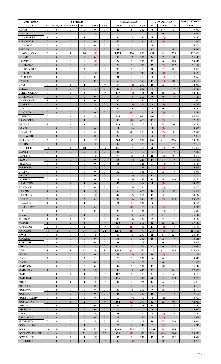| 2019 IOWA                       | <b>SYPHILIS</b>                  |                                  |                                  |                          |                       | <b>CHLAMYDIA</b>               | <b>GONORRHEA</b> |                      |               | <b>POPULATION</b>       |                       |                  |                   |
|---------------------------------|----------------------------------|----------------------------------|----------------------------------|--------------------------|-----------------------|--------------------------------|------------------|----------------------|---------------|-------------------------|-----------------------|------------------|-------------------|
| <b>COUNTY</b>                   | P-S                              |                                  | E-NP,NS Unk dur/late             | <b>TOTAL</b>             | DIFF <sup>1</sup>     | Rate*                          | <b>TOTAL</b>     | DIFF <sup>1</sup>    | Rate*         | <b>TOTAL</b>            | DIFF <sup>1</sup>     | Rate*            | <b>Total</b>      |
| <b>ADAIR</b>                    | $\mathbf{0}$                     | $\mathbf{0}$                     | $\mathbf{0}$                     | $\bf{0}$                 | $\mathbf{0}$          | $\mathbf{0}$                   | 27               | 8                    | 382           | $\bf{0}$                | (10)                  | $\mathbf{0}$     | 7,063             |
| <b>ADAMS</b>                    | $\mathbf{0}$                     | $\mathbf{0}$                     | $\mathbf{0}$                     | $\bf{0}$                 | (1)                   | $\overline{0}$                 | 14               | $7\phantom{.0}$      | $\ddot{\tau}$ | $\mathbf{1}$            | $\mathbf{0}$          | $\ddagger$       | 3,645             |
| <b>ALLAMAKEE</b>                | $\mathbf{1}$                     | $\mathbf{0}$                     | $\mathbf{0}$                     | 1                        | 1                     | ÷                              | 34               | 11                   | 246           | 6                       | (5)                   | ÷                | 13,832            |
| APPANOOSE                       | $\mathbf{0}$                     | $\mathbf{0}$                     | $\boldsymbol{0}$                 | $\bf{0}$                 | $\mathbf{0}$          | $\boldsymbol{0}$               | 48               | 12                   | 386           | 11                      | (1)                   | $\dagger$        | 12,437            |
| <b>AUDUBON</b>                  | $\mathbf{0}$                     | $\boldsymbol{0}$                 | $\bf{0}$                         | $\bf{0}$                 | $\mathbf{0}$          | $\mathbf{0}$                   | 12               | 5                    | ÷             | 5                       | 3                     | ÷                | 5,506             |
| <b>BENTON</b>                   | $\overline{0}$                   | $\boldsymbol{0}$                 | $\boldsymbol{0}$                 | $\bf{0}$                 | (1)                   | $\boldsymbol{0}$               | 68               | $\overline{4}$       | 265           | 17                      | $\overline{2}$        | 66               | 25,642            |
| <b>BLACK HAWK</b>               | 6                                | 4                                | $\overline{4}$                   | 14                       | (1)                   | Ť                              | 1,178            | 174                  | 890           | 497                     | 86                    | 375              | 132,408           |
| <b>BOONE</b>                    | $\mathbf{0}$                     | $\mathbf{0}$                     | $\mathbf{0}$                     | $\bf{0}$                 | $\mathbf{0}$          | $\overline{0}$                 | 98               | 13                   | 372           | 24                      | $7\phantom{.0}$       | 91               | 26,346            |
| <b>BREMER</b>                   | $\mathbf{0}$                     | $\mathbf{0}$                     | $\mathbf{0}$                     | $\bf{0}$                 | (1)                   | $\mathbf{0}$                   | 74               | $\boldsymbol{0}$     | 297           | 25                      | 6                     | 100              | 24,947            |
| <b>BUCHANAN</b>                 | $\mathbf{0}$                     | $\mathbf{0}$                     | $\mathbf{0}$                     | $\bf{0}$                 | (2)                   | $\boldsymbol{0}$               | 79               | $\mathfrak{Z}$       | 373           | 27                      | (3)                   | 127              | 21,199            |
| <b>BUENA VISTA</b>              | $\boldsymbol{0}$                 | $\boldsymbol{0}$                 | 2                                | $\mathbf{2}$             | 1                     | Ť                              | 95               | 28                   | 478           | 20                      | 7                     | 101              | 19,874            |
| <b>BUTLER</b>                   | $\mathbf{0}$                     | $\boldsymbol{0}$                 | $\mathbf{0}$                     | $\bf{0}$                 | (1)                   | $\mathbf{0}$                   | 36               | $\overline{4}$       | 248           | 8                       | (1)                   | $\ddagger$       | 14,539            |
| <b>CALHOUN</b>                  | $\mathbf{0}$<br>$\boldsymbol{0}$ | $\mathbf{0}$<br>$\boldsymbol{0}$ | $\mathbf{0}$<br>$\boldsymbol{0}$ | $\bf{0}$                 | $\mathbf{0}$          | $\overline{0}$                 | 21               | 1                    | 217           | $\overline{2}$          | (2)                   | ÷                | 9,699             |
| <b>CARROLL</b><br>CASS          | $\mathbf{0}$                     | $\mathbf{0}$                     | $\mathbf{1}$                     | $\bf{0}$<br>$\mathbf{1}$ | $\boldsymbol{0}$<br>1 | $\boldsymbol{0}$<br>$\ddagger$ | 60<br>34         | $\,8\,$<br>(2)       | 298<br>263    | 17<br>10                | (3)<br>$\overline{2}$ | 84<br>÷          | 20,154<br>12,930  |
| <b>CEDAR</b>                    | $\mathbf{0}$                     | $\mathbf{0}$                     | $\mathbf{0}$                     | $\bf{0}$                 | (2)                   | $\mathbf{0}$                   | 47               | 9                    | 252           | 6                       | $\mathbf{1}$          | $\dagger$        | 18,627            |
| <b>CERRO GORDO</b>              | $\mathbf{0}$                     | 1                                | $\overline{c}$                   | 3                        | 1                     | $\dagger$                      | 177              | (8)                  | 415           | 35                      | 16                    | 82               | 42,647            |
| <b>CHEROKEE</b>                 | $\mathbf{0}$                     | $\boldsymbol{0}$                 | $\boldsymbol{0}$                 | $\bf{0}$                 | $\mathbf{0}$          | $\mathbf{0}$                   | 34               | 16                   | 300           | 9                       | $\mathbf{0}$          | $\dagger$        | 11,321            |
| <b>CHICKASAW</b>                | 1                                | $\mathbf{0}$                     | $\boldsymbol{0}$                 | 1                        | $\mathbf{0}$          | ÷                              | 30               | 1                    | 251           | $\overline{7}$          | 5                     | ÷                | 11,964            |
| <b>CLARKE</b>                   | $\mathbf{0}$                     | $\mathbf{0}$                     | $\mathbf{0}$                     | $\bf{0}$                 | (1)                   | $\mathbf{0}$                   | 34               | (6)                  | 361           | $\mathbf{3}$            | (1)                   | $\dagger$        | 9,423             |
| <b>CLAY</b>                     | $\boldsymbol{0}$                 | $\boldsymbol{0}$                 | $\mathbf{0}$                     | $\bf{0}$                 | (1)                   | $\mathbf{0}$                   | 34               | 13                   | 211           | 4                       | $\mathbf{0}$          | ÷                | 16,134            |
| <b>CLAYTON</b>                  | $\boldsymbol{0}$                 | $\boldsymbol{0}$                 | $\mathbf{0}$                     | $\bf{0}$                 | $\mathbf{0}$          | $\mathbf{0}$                   | 20               | (13)                 | 114           | 6                       | (3)                   | $\dagger$        | 17,556            |
| <b>CLINTON</b>                  | $\mathbf{0}$                     | 1                                | 1                                | $\mathbf{2}$             | (2)                   | $\dagger$                      | 226              | 10                   | 486           | 103                     | 62                    | 221              | 46,518            |
| <b>CRAWFORD</b>                 | $\mathbf{0}$                     | 1                                | $\mathbf{0}$                     | $\mathbf{1}$             | 1                     | $\dagger$                      | 80               | (10)                 | 466           | 11                      | (3)                   | $\dagger$        | 17,158            |
| <b>DALLAS</b>                   | 1                                | $\mathbf{2}$                     | 1                                | 4                        | 1                     | $\dagger$                      | 290              | 17                   | 322           | 73                      | 29                    | 81               | 90,180            |
| <b>DAVIS</b>                    | $\mathbf{0}$                     | $\mathbf{0}$                     | $\mathbf{0}$                     | $\bf{0}$                 | $\boldsymbol{0}$      | $\mathbf{0}$                   | 11               | (6)                  | $\ddagger$    | 5                       | (1)                   | $\ddagger$       | 9,017             |
| <b>DECATUR</b>                  | $\mathbf{0}$                     | $\boldsymbol{0}$                 | $\mathbf{0}$                     | $\bf{0}$                 | $\mathbf{0}$          | $\mathbf{0}$                   | 24               | (11)                 | 304           | $\bf{0}$                | (2)                   | $\boldsymbol{0}$ | 7,890             |
| <b>DELAWARE</b>                 | $\boldsymbol{0}$                 | $\mathbf{0}$                     | $\mathbf{0}$                     | $\bf{0}$                 | $\mathbf{0}$          | $\boldsymbol{0}$               | 29               | $\mathbf{0}$         | 170           | $\overline{4}$          | (4)                   | $\ddagger$       | 17,069            |
| <b>DES MOINES</b>               | $\overline{3}$                   | 3                                | 1                                | 7                        | (5)                   | t                              | 305              | 43                   | 779           | 108                     | (18)                  | 276              | 39,138            |
| <b>DICKINSON</b>                | $\mathbf{0}$                     | $\mathbf{0}$                     | $\mathbf{0}$                     | $\bf{0}$                 | (1)                   | $\overline{0}$                 | 39               | 17                   | 227           | 3                       | $\mathbf{1}$          | $\ddagger$       | 17,153            |
| <b>DUBUQUE</b>                  | 13                               | 1                                | $\overline{4}$                   | 18                       | 7                     | 19                             | 441              | 13                   | 455           | 90                      | (2)                   | 93               | 96,854            |
| EMMET                           | $\mathbf{0}$                     | $\mathbf{0}$                     | $\boldsymbol{0}$                 | $\bf{0}$                 | (1)                   | $\mathbf{0}$                   | 46               | 9                    | 497           | 6                       | $\mathfrak{Z}$        | $\dagger$        | 9,253             |
| <b>FAYETTE</b>                  | $\mathbf{0}$                     | $\mathbf{0}$                     | $\boldsymbol{0}$                 | 0                        | (1)                   | $\mathbf{0}$                   | 70               | 31                   | 356           | 18                      | (7)                   | 92               | 19,660            |
| <b>FLOYD</b>                    | $\mathbf{0}$                     | $\boldsymbol{0}$                 | $\mathbf{0}$                     | $\bf{0}$                 | $\boldsymbol{0}$      | $\mathbf{0}$                   | 38               | (5)                  | 241           | 14                      | 5                     | $\dagger$        | 15,761            |
| FRANKLIN                        | $\mathbf{0}$                     | $\boldsymbol{0}$                 | $\mathbf{0}$                     | 0                        | $\theta$              | $\mathbf{0}$                   | 35               | 9                    | 346           | 3                       | (4)                   | ÷<br>$\ddagger$  | 10,124            |
| <b>FREMONT</b><br><b>GREENE</b> | $\mathbf{0}$<br>$\boldsymbol{0}$ | $\boldsymbol{0}$<br>$\mathbf{0}$ | $\mathbf{0}$<br>$\boldsymbol{0}$ | $\bf{0}$<br>$\bf{0}$     | (2)<br>$\mathbf{0}$   | $\mathbf{0}$<br>$\mathbf{0}$   | 16<br>32         | $\overline{2}$<br>10 | 229<br>356    | $\mathbf{1}$<br>3       | (5)<br>$\overline{c}$ | ÷                | 6,993<br>8,981    |
| <b>GRUNDY</b>                   | $\mathbf{0}$                     | $\mathbf{0}$                     | $\mathbf{0}$                     | $\bf{0}$                 | $\mathbf{0}$          | $\mathbf{0}$                   | 24               | (2)                  | 195           | 11                      | $\mathfrak{Z}$        | ÷                | 12,304            |
| <b>GUTHRIE</b>                  | $\theta$                         | $\overline{0}$                   | $\theta$                         | $\bf{0}$                 | $\theta$              | $\mathbf{0}$                   | 25               | (4)                  | 233           | 15                      | 9                     | 140              | 10,720            |
| <b>HAMILTON</b>                 | $\mathbf{0}$                     | $\boldsymbol{0}$                 | $\mathbf{1}$                     | $\mathbf{1}$             | $\mathbf{0}$          | $\ddagger$                     | 47               | 6                    | 314           | 8                       | (1)                   | $\ddagger$       | 14,952            |
| <b>HANCOCK</b>                  | $\mathbf{0}$                     | $\mathbf{0}$                     | $\mathbf{0}$                     | 0                        | $\mathbf{0}$          | $\overline{0}$                 | 24               | (4)                  | 224           | 1                       | (6)                   | t                | 10,712            |
| <b>HARDIN</b>                   | 1                                | $\boldsymbol{0}$                 | $\mathbf{0}$                     | $\mathbf{1}$             | (1)                   | $\dagger$                      | 68               | 10                   | 403           | 16                      | 9                     | 95               | 16,868            |
| <b>HARRISON</b>                 | $\boldsymbol{0}$                 | $\boldsymbol{0}$                 | $\boldsymbol{0}$                 | $\bf{0}$                 | (2)                   | $\boldsymbol{0}$               | 44               | (7)                  | 311           | 11                      | 5                     | $\dagger$        | 14,134            |
| <b>HENRY</b>                    | $\overline{3}$                   | $\mathbf{0}$                     | $\mathbf{0}$                     | 3                        | $\mathbf{0}$          | $\dagger$                      | 59               | (4)                  | 294           | 23                      | (2)                   | 115              | 20,067            |
| <b>HOWARD</b>                   | $\mathbf{1}$                     | $\mathbf{0}$                     | $\bf{0}$                         | $\mathbf{1}$             | 1                     | Ť                              | 22               | 9                    | 239           | 3                       | 1                     | Ť                | 9,187             |
| <b>HUMBOLDT</b>                 | $\mathbf{0}$                     | $\boldsymbol{0}$                 | $\mathbf{0}$                     | $\bf{0}$                 | $\mathbf{0}$          | $\mathbf{0}$                   | 18               | (17)                 | 189           | $\mathbf{2}$            | (4)                   | $\dagger$        | 9,547             |
| <b>IDA</b>                      | $\boldsymbol{0}$                 | $\boldsymbol{0}$                 | $\boldsymbol{0}$                 | $\bf{0}$                 | $\mathbf{0}$          | $\boldsymbol{0}$               | 23               | 11                   | 336           | 1                       | (2)                   | ÷                | 6,841             |
| <b>IOWA</b>                     | $\mathbf{1}$                     | $\boldsymbol{0}$                 | $\mathbf{0}$                     | $\mathbf{1}$             | $\mathbf{1}$          | $\dagger$                      | 63               | 33                   | 390           | $7\phantom{.0}$         | $\overline{3}$        | $\ddagger$       | 16,141            |
| <b>JACKSON</b>                  | $\mathbf{1}$                     | $\mathbf{0}$                     | 1                                | $\mathbf{2}$             | $\overline{2}$        | Ť                              | 45               | (3)                  | 232           | $7\phantom{.0}$         | $\overline{c}$        | ÷                | 19,432            |
| <b>JASPER</b>                   | $\mathbf{1}$                     | $\mathbf{1}$                     | $\overline{2}$                   | $\overline{\mathbf{4}}$  | $\overline{4}$        | $\dagger$                      | 130              | 32                   | 350           | 45                      | 10                    | 121              | 37,147            |
| <b>JEFFERSON</b>                | $\sqrt{2}$                       | $\boldsymbol{0}$                 | $\boldsymbol{0}$                 | $\mathbf{2}$             | 1                     | ÷                              | 33               | (14)                 | 180           | 11                      | (5)                   | ÷                | 18,381            |
| <b>JOHNSON</b>                  | 14                               | 12                               | 11                               | 37                       | 13                    | 24                             | 1,176            | 155                  | 777           | 216                     | (6)                   | 143              | 151,260           |
| <b>JONES</b>                    | $\boldsymbol{0}$                 | $\boldsymbol{0}$                 | $\boldsymbol{0}$                 | $\bf{0}$                 | (1)                   | $\bf{0}$                       | 60               | 12                   | 289           | 25                      | 17                    | 121              | 20,744            |
| <b>KEOKUK</b>                   | $\mathbf{0}$                     | $\mathbf{0}$                     | $\boldsymbol{0}$                 | $\bf{0}$                 | $\mathbf{0}$          | $\boldsymbol{0}$               | 36               | $\mathbf{1}$         | 352           | 10                      | $\overline{2}$        | $\dagger$        | 10,225            |
| <b>KOSSUTH</b>                  | $\boldsymbol{0}$                 | $\boldsymbol{0}$                 | $\boldsymbol{0}$                 | $\bf{0}$                 | $\mathbf{0}$          | $\bf{0}$                       | 31               | 16                   | 208           | $\overline{2}$          | $\boldsymbol{0}$      | ÷                | 14,908            |
| <b>LEE</b>                      | $\boldsymbol{0}$                 | $\boldsymbol{0}$                 | $\boldsymbol{0}$                 | $\bf{0}$                 | (1)                   | $\boldsymbol{0}$               | 111              | 10                   | 326           | 42                      | $\boldsymbol{0}$      | 123              | 34,055            |
| <b>LINN</b><br><b>LOUISA</b>    | 8<br>$\boldsymbol{0}$            | 6<br>$\mathbf{0}$                | 3<br>$\mathbf{0}$                | 17<br>$\bf{0}$           | (8)<br>$\mathbf{0}$   | 8<br>$\overline{0}$            | 1,248<br>43      | (51)<br>(3)          | 552<br>385    | 417<br>10               | (22)<br>(2)           | 185<br>$\dagger$ | 225,909<br>11,169 |
| <b>LUCAS</b>                    | $\overline{2}$                   | $\mathbf{1}$                     | $\mathbf{0}$                     | 3                        | 3                     | $\dagger$                      | 20               | $\boldsymbol{0}$     | 231           | 6                       | $\overline{4}$        | $\ddagger$       | 8,645             |
| LYON                            | $\mathbf{0}$                     | $\mathbf{0}$                     | $\mathbf{0}$                     | $\bf{0}$                 | $\boldsymbol{0}$      | $\mathbf{0}$                   | 19               | (1)                  | 161           | $\mathbf{1}$            | $\boldsymbol{0}$      | $\dagger$        | 11,811            |
| <b>MADISON</b>                  | $\boldsymbol{0}$                 | 0                                | $\bf{0}$                         | 0                        | $\mathbf{0}$          | $\boldsymbol{0}$               | 44               | 7                    | 271           | 11                      | (1)                   | Ť                | 16,249            |
| <b>MAHASKA</b>                  | $\mathbf{1}$                     | 1                                | $\mathbf{0}$                     | $\overline{2}$           | (2)                   | $\dagger$                      | 98               | 11                   | 445           | 31                      | $\mathbf{1}$          | 141              | 22,000            |
| <b>MARION</b>                   | $\mathbf{0}$                     | $\bf{0}$                         | 1                                | 1                        | (2)                   | t                              | 107              | 20                   | 320           | 21                      | $\overline{4}$        | 63               | 33,407            |
| <b>MARSHALL</b>                 | $\overline{2}$                   | $\boldsymbol{0}$                 | $\mathbf{0}$                     | $\overline{2}$           | (1)                   | $\dagger$                      | 176              | 15                   | 440           | 76                      | 22                    | 190              | 39,981            |
| <b>MILLS</b>                    | $\boldsymbol{0}$                 | $\boldsymbol{0}$                 | $\mathbf{1}$                     | $\mathbf{1}$             | (1)                   | ŧ                              | 34               | $\boldsymbol{0}$     | 226           | 14                      | 6                     | ÷                | 15,063            |
| <b>MITCHELL</b>                 | $\mathbf{0}$                     | $\mathbf{0}$                     | $\mathbf{0}$                     | $\bf{0}$                 | $\mathbf{0}$          | $\mathbf{0}$                   | 19               | $\overline{4}$       | 180           | $\overline{\mathbf{5}}$ | $\overline{2}$        | $\dagger$        | 10,569            |
| MONONA                          | $\mathbf{0}$                     | $\mathbf{0}$                     | $\boldsymbol{0}$                 | $\bf{0}$                 | $\theta$              | $\mathbf{0}$                   | 33               | 11                   | 380           | $\overline{7}$          | $\overline{2}$        | ÷                | 8,679             |
| <b>MONROE</b>                   | $\mathbf{0}$                     | $\boldsymbol{0}$                 | $\mathbf{0}$                     | $\bf{0}$                 | $\mathbf{0}$          | $\boldsymbol{0}$               | 28               | 9                    | 359           | 10                      | $\overline{7}$        | $\dagger$        | 7,790             |
| <b>MONTGOMERY</b>               | $\mathbf{0}$                     | $\mathbf{0}$                     | $\boldsymbol{0}$                 | $\bf{0}$                 | $\mathbf{0}$          | $\boldsymbol{0}$               | 19               | (9)                  | 190           | $\overline{4}$          | (1)                   | ÷                | 10,003            |
| <b>MUSCATINE</b>                | $\mathbf{0}$                     | $\mathbf{1}$                     | $\mathbf{1}$                     | $\mathbf{2}$             | $\mathbf{1}$          | $\dagger$                      | 162              | (22)                 | 377           | 42                      | 20                    | 98               | 42,929            |
| <b>O'BRIEN</b>                  | $\boldsymbol{0}$                 | $\boldsymbol{0}$                 | $\boldsymbol{0}$                 | 0                        | $\mathbf{0}$          | $\boldsymbol{0}$               | 44               | 6                    | 318           | 14                      | 3                     | Ť                | 13,840            |
| <b>OSCEOLA</b>                  | $\boldsymbol{0}$                 | $\boldsymbol{0}$                 | $\mathbf{0}$                     | $\bf{0}$                 | $\boldsymbol{0}$      | $\mathbf{0}$                   | 14               | $\overline{4}$       | $\dagger$     | $\mathbf{3}$            | $\mathbf{1}$          | $\dagger$        | 6,040             |
| PAGE                            | $\mathbf{0}$                     | $\overline{0}$                   | $\boldsymbol{0}$                 | $\bf{0}$                 | (1)                   | $\mathbf{0}$                   | 41               | $\overline{2}$       | 269           | $\overline{2}$          | (6)                   | ÷                | 15,249            |
| PALO ALTO                       | $\mathbf{0}$                     | $\boldsymbol{0}$                 | $\mathbf{0}$                     | $\bf{0}$                 | $\mathbf{0}$          | $\boldsymbol{0}$               | 25               | $\mathbf{0}$         | 280           | $\overline{\mathbf{4}}$ | (2)                   | $\dagger$        | 8,929             |
| <b>PLYMOUTH</b>                 | $\boldsymbol{0}$                 | $\boldsymbol{0}$                 | $\boldsymbol{0}$                 | $\bf{0}$                 | (1)                   | $\boldsymbol{0}$               | 80               | 20                   | 319           | 30                      | 17                    | 120              | 25,095            |
| <b>POCAHONTAS</b>               | $\mathbf{0}$                     | $\mathbf{1}$                     | $\mathbf{0}$                     | $\mathbf{1}$             | $\mathbf{1}$          | $\dagger$                      | 23               | $\,8\,$              | 341           | $\overline{2}$          | (3)                   | $\ddagger$       | 6,740             |
| <b>POLK</b>                     | 49                               | 41                               | 41                               | 131                      | 60                    | 27                             | 3,469            | 335                  | 712           | 1,393                   | 26                    | 286              | 487,204           |
| POTTAWATTAMIE                   | 8                                | $\overline{4}$                   | 9                                | 21                       | (1)                   | 22                             | 496              | (13)                 | 530           | 228                     | (86)                  | 244              | 93,533            |
| <b>POWESHIEK</b>                | $\boldsymbol{0}$                 | 0                                | 1                                | 1                        | (2)                   | Ť                              | 45               | 5                    | 241           | 19                      | 12                    | 102              | 18,699            |
| <b>RINGGOLD</b>                 | $\overline{0}$                   | $\overline{0}$                   | $\mathbf{1}$                     | $\mathbf{1}$             | 1                     | $\ddagger$                     | 6                | (4)                  | $\ddot{\tau}$ | $\mathbf{1}$            | $\mathbf{0}$          | $\ddagger$       | 4,968             |